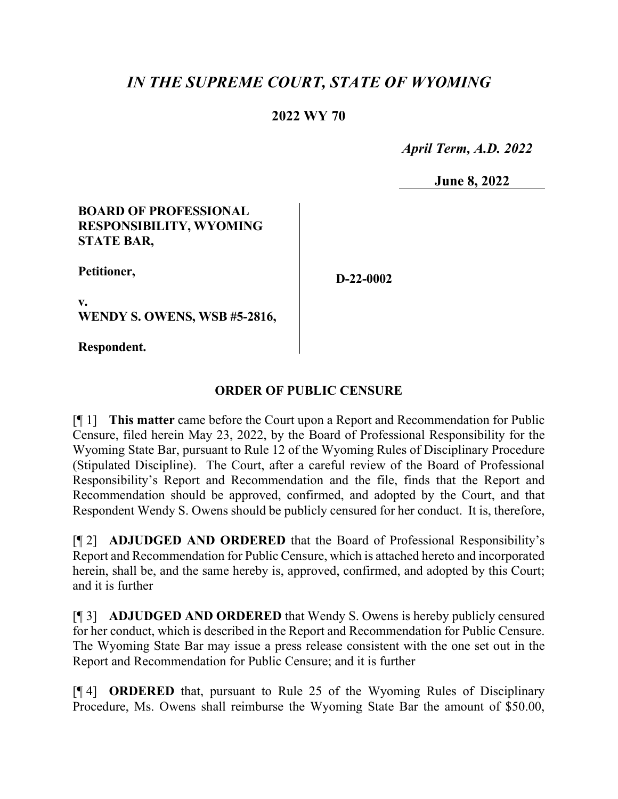## *IN THE SUPREME COURT, STATE OF WYOMING*

## **2022 WY 70**

 *April Term, A.D. 2022*

**June 8, 2022**

## **BOARD OF PROFESSIONAL RESPONSIBILITY, WYOMING STATE BAR,**

**Petitioner,**

**D-22-0002**

**v. WENDY S. OWENS, WSB #5-2816,**

**Respondent.**

## **ORDER OF PUBLIC CENSURE**

[¶ 1] **This matter** came before the Court upon a Report and Recommendation for Public Censure, filed herein May 23, 2022, by the Board of Professional Responsibility for the Wyoming State Bar, pursuant to Rule 12 of the Wyoming Rules of Disciplinary Procedure (Stipulated Discipline). The Court, after a careful review of the Board of Professional Responsibility's Report and Recommendation and the file, finds that the Report and Recommendation should be approved, confirmed, and adopted by the Court, and that Respondent Wendy S. Owens should be publicly censured for her conduct. It is, therefore,

[¶ 2] **ADJUDGED AND ORDERED** that the Board of Professional Responsibility's Report and Recommendation for Public Censure, which is attached hereto and incorporated herein, shall be, and the same hereby is, approved, confirmed, and adopted by this Court; and it is further

[¶ 3] **ADJUDGED AND ORDERED** that Wendy S. Owens is hereby publicly censured for her conduct, which is described in the Report and Recommendation for Public Censure. The Wyoming State Bar may issue a press release consistent with the one set out in the Report and Recommendation for Public Censure; and it is further

[¶ 4] **ORDERED** that, pursuant to Rule 25 of the Wyoming Rules of Disciplinary Procedure, Ms. Owens shall reimburse the Wyoming State Bar the amount of \$50.00,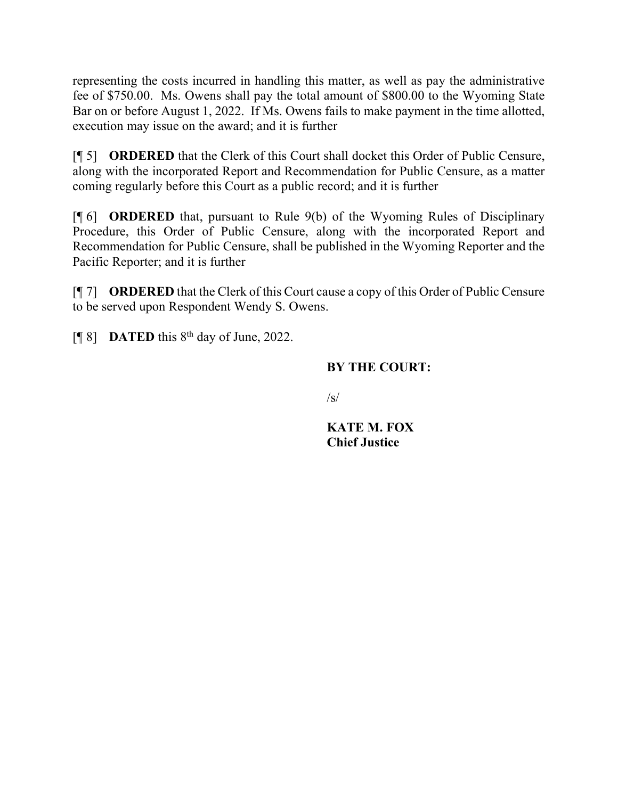representing the costs incurred in handling this matter, as well as pay the administrative fee of \$750.00. Ms. Owens shall pay the total amount of \$800.00 to the Wyoming State Bar on or before August 1, 2022. If Ms. Owens fails to make payment in the time allotted, execution may issue on the award; and it is further

[¶ 5] **ORDERED** that the Clerk of this Court shall docket this Order of Public Censure, along with the incorporated Report and Recommendation for Public Censure, as a matter coming regularly before this Court as a public record; and it is further

[¶ 6] **ORDERED** that, pursuant to Rule 9(b) of the Wyoming Rules of Disciplinary Procedure, this Order of Public Censure, along with the incorporated Report and Recommendation for Public Censure, shall be published in the Wyoming Reporter and the Pacific Reporter; and it is further

[¶ 7] **ORDERED** that the Clerk of this Court cause a copy of this Order of Public Censure to be served upon Respondent Wendy S. Owens.

[¶ 8] **DATED** this 8th day of June, 2022.

## **BY THE COURT:**

 $\sqrt{s}$ 

**KATE M. FOX Chief Justice**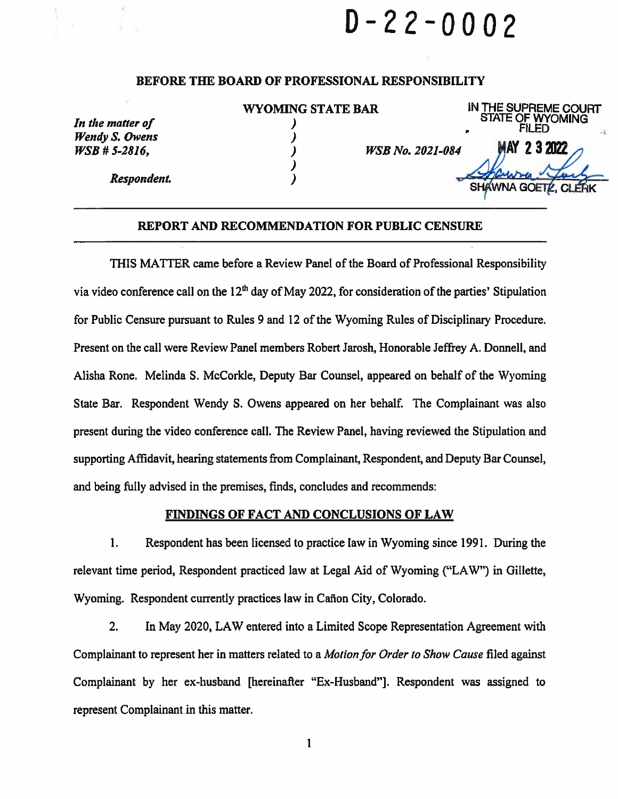# $D - 22 - 0002$

#### BEFORE THE BOARD OF PROFESSIONAL RESPONSIBILITY

|                       | <b>WYOMING STATE BAR</b> | IN THE SUPREME COURT<br><b>STATE OF WYOMING</b> |
|-----------------------|--------------------------|-------------------------------------------------|
| In the matter of      |                          | FILED                                           |
| <b>Wendy S. Owens</b> |                          |                                                 |
| $WSB \# 5-2816$ ,     | <b>WSB No. 2021-084</b>  | 23222<br>MAY                                    |
| Respondent.           |                          |                                                 |
|                       |                          | SHAWNA GOETZ, CLERK                             |

#### REPORT AND RECOMMENDATION FOR PUBLIC CENSURE

THIS MATTER came before a Review Panel of the Board of Professional Responsibility via video conference call on the  $12<sup>th</sup>$  day of May 2022, for consideration of the parties' Stipulation for Public Censure pursuant to Rules 9 and 12 of the Wyoming Rules of Disciplinary Procedure. Present on the call were Review Panel members Robert Jarosh, Honorable Jeffrey A. Donnell, and Alisha Rone. Melinda S. McCorkle, Deputy Bar Counsel, appeared on behalf of the Wyoming State Bar. Respondent Wendy S. Owens appeared on her behalf. The Complainant was also present during the video conference call. The Review Panel, having reviewed the Stipulation and supporting Affidavit, hearing statements from Complainant, Respondent, and Deputy Bar Counsel, and being fully advised in the premises, finds, concludes and recommends:

#### **FINDINGS OF FACT AND CONCLUSIONS OF LAW**

 $1.$ Respondent has been licensed to practice law in Wyoming since 1991. During the relevant time period, Respondent practiced law at Legal Aid of Wyoming ("LAW") in Gillette, Wyoming. Respondent currently practices law in Cañon City, Colorado.

2. In May 2020, LAW entered into a Limited Scope Representation Agreement with Complainant to represent her in matters related to a Motion for Order to Show Cause filed against Complainant by her ex-husband [hereinafter "Ex-Husband"]. Respondent was assigned to represent Complainant in this matter.

 $\mathbf{1}$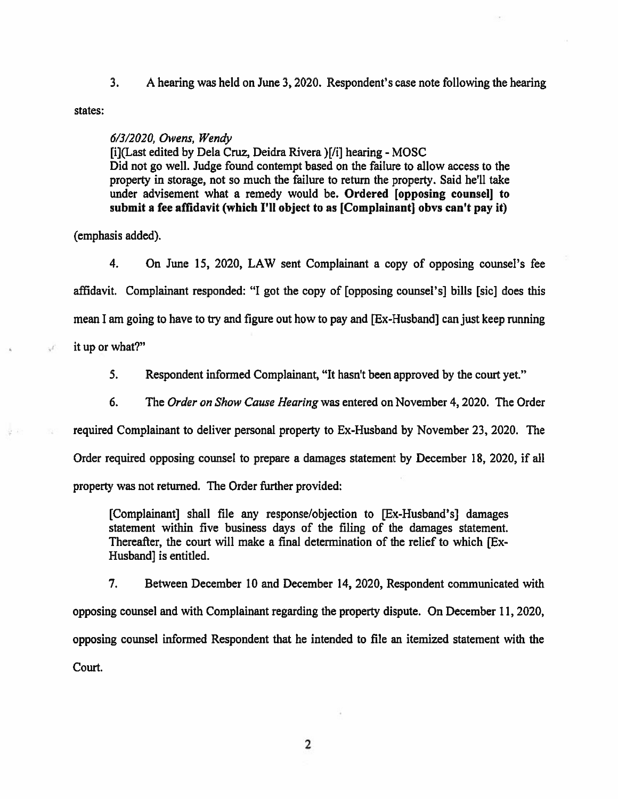$3.$ A hearing was held on June 3, 2020. Respondent's case note following the hearing

states:

J.

#### $6/3/2020$ . Owens. Wendy

[i](Last edited by Dela Cruz, Deidra Rivera )[/i] hearing - MOSC Did not go well. Judge found contempt based on the failure to allow access to the property in storage, not so much the failure to return the property. Said he'll take under advisement what a remedy would be. Ordered [opposing counsel] to submit a fee affidavit (which I'll object to as [Complainant] obvs can't pay it)

(emphasis added).

 $4.$ On June 15, 2020, LAW sent Complainant a copy of opposing counsel's fee affidavit. Complainant responded: "I got the copy of [opposing counsel's] bills [sic] does this mean I am going to have to try and figure out how to pay and [Ex-Husband] can just keep running it up or what?"

 $5.$ Respondent informed Complainant, "It hasn't been approved by the court yet."

6. The Order on Show Cause Hearing was entered on November 4, 2020. The Order

required Complainant to deliver personal property to Ex-Husband by November 23, 2020. The

Order required opposing counsel to prepare a damages statement by December 18, 2020, if all

property was not returned. The Order further provided:

[Complainant] shall file any response/objection to [Ex-Husband's] damages statement within five business days of the filing of the damages statement. Thereafter, the court will make a final determination of the relief to which [Ex-Husband] is entitled.

7. Between December 10 and December 14, 2020, Respondent communicated with opposing counsel and with Complainant regarding the property dispute. On December 11, 2020, opposing counsel informed Respondent that he intended to file an itemized statement with the Court.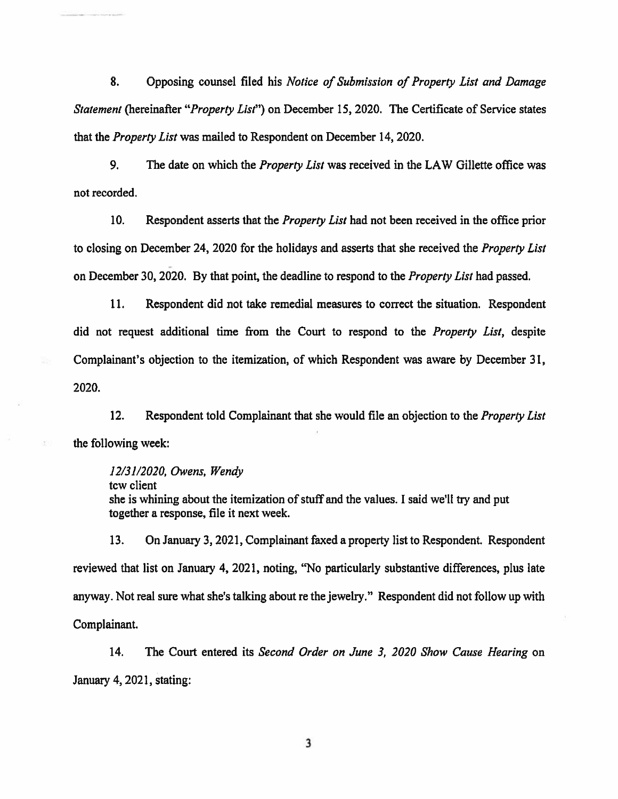8. Opposing counsel filed his Notice of Submission of Property List and Damage Statement (hereinafter "Property List") on December 15, 2020. The Certificate of Service states that the *Property List* was mailed to Respondent on December 14, 2020.

9. The date on which the *Property List* was received in the LAW Gillette office was not recorded.

 $10.$ Respondent asserts that the *Property List* had not been received in the office prior to closing on December 24, 2020 for the holidays and asserts that she received the *Property List* on December 30, 2020. By that point, the deadline to respond to the *Property List* had passed.

11. Respondent did not take remedial measures to correct the situation. Respondent did not request additional time from the Court to respond to the *Property List*, despite Complainant's objection to the itemization, of which Respondent was aware by December 31, 2020.

 $12.$ Respondent told Complainant that she would file an objection to the Property List the following week:

12/31/2020, Owens, Wendy tew client she is whining about the itemization of stuff and the values. I said we'll try and put together a response, file it next week.

 $13.$ On January 3, 2021, Complainant faxed a property list to Respondent. Respondent reviewed that list on January 4, 2021, noting, "No particularly substantive differences, plus late anyway. Not real sure what she's talking about re the jewelry." Respondent did not follow up with Complainant.

14. The Court entered its Second Order on June 3, 2020 Show Cause Hearing on January 4, 2021, stating: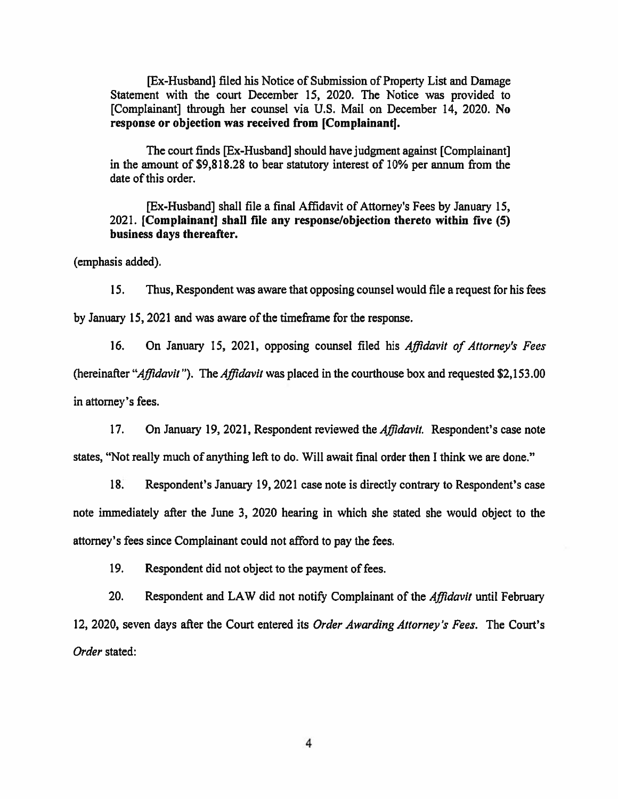[Ex-Husband] filed his Notice of Submission of Property List and Damage Statement with the court December 15, 2020. The Notice was provided to [Complainant] through her counsel via U.S. Mail on December 14, 2020. No response or objection was received from [Complainant].

The court finds [Ex-Husband] should have judgment against [Complainant] in the amount of \$9,818.28 to bear statutory interest of 10% per annum from the date of this order.

[Ex-Husband] shall file a final Affidavit of Attorney's Fees by January 15, 2021. [Complainant] shall file any response/objection thereto within five (5) business days thereafter.

(emphasis added).

15. Thus, Respondent was aware that opposing counsel would file a request for his fees by January 15, 2021 and was aware of the timeframe for the response.

 $16.$ On January 15, 2021, opposing counsel filed his Affidavit of Attorney's Fees (hereinafter "Affidavit"). The Affidavit was placed in the courthouse box and requested \$2,153.00 in attorney's fees.

 $17.$ On January 19, 2021, Respondent reviewed the *Affidavit*. Respondent's case note states, "Not really much of anything left to do. Will await final order then I think we are done."

 $18.$ Respondent's January 19, 2021 case note is directly contrary to Respondent's case note immediately after the June 3, 2020 hearing in which she stated she would object to the attorney's fees since Complainant could not afford to pay the fees.

19. Respondent did not object to the payment of fees.

20. Respondent and LAW did not notify Complainant of the Affidavit until February 12, 2020, seven days after the Court entered its Order Awarding Attorney's Fees. The Court's Order stated: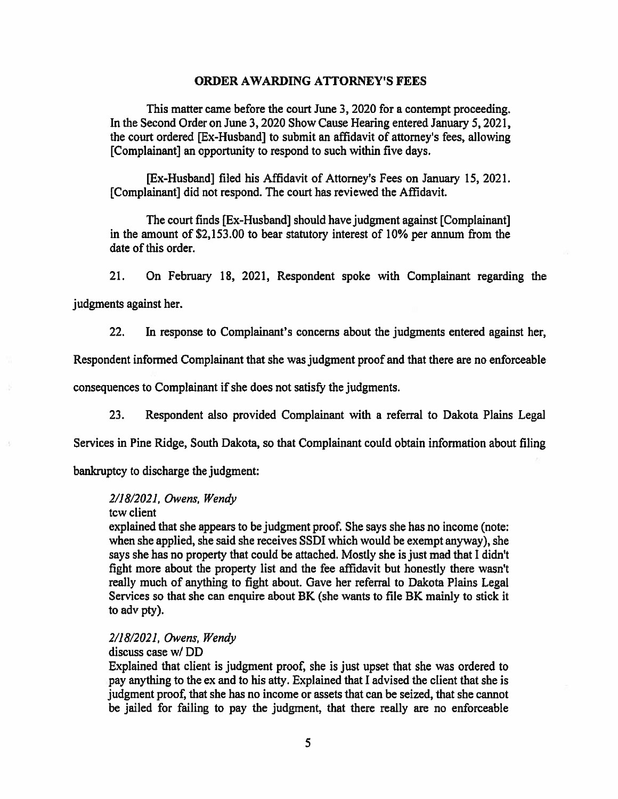#### **ORDER AWARDING ATTORNEY'S FEES**

This matter came before the court June 3, 2020 for a contempt proceeding. In the Second Order on June 3, 2020 Show Cause Hearing entered January 5, 2021, the court ordered [Ex-Husband] to submit an affidavit of attorney's fees, allowing [Complainant] an opportunity to respond to such within five days.

[Ex-Husband] filed his Affidavit of Attorney's Fees on January 15, 2021. [Complainant] did not respond. The court has reviewed the Affidavit.

The court finds [Ex-Husband] should have judgment against [Complainant] in the amount of \$2,153.00 to bear statutory interest of 10% per annum from the date of this order.

 $21.$ On February 18, 2021, Respondent spoke with Complainant regarding the judgments against her.

In response to Complainant's concerns about the judgments entered against her,  $22.$ 

Respondent informed Complainant that she was judgment proof and that there are no enforceable

consequences to Complainant if she does not satisfy the judgments.

23. Respondent also provided Complainant with a referral to Dakota Plains Legal

Services in Pine Ridge, South Dakota, so that Complainant could obtain information about filing

bankruptcy to discharge the judgment:

#### 2/18/2021, Owens, Wendy

tcw client

explained that she appears to be judgment proof. She says she has no income (note: when she applied, she said she receives SSDI which would be exempt anyway), she says she has no property that could be attached. Mostly she is just mad that I didn't fight more about the property list and the fee affidavit but honestly there wasn't really much of anything to fight about. Gave her referral to Dakota Plains Legal Services so that she can enquire about BK (she wants to file BK mainly to stick it to adv pty).

2/18/2021, Owens, Wendy

discuss case w/DD

Explained that client is judgment proof, she is just upset that she was ordered to pay anything to the ex and to his atty. Explained that I advised the client that she is judgment proof, that she has no income or assets that can be seized, that she cannot be jailed for failing to pay the judgment, that there really are no enforceable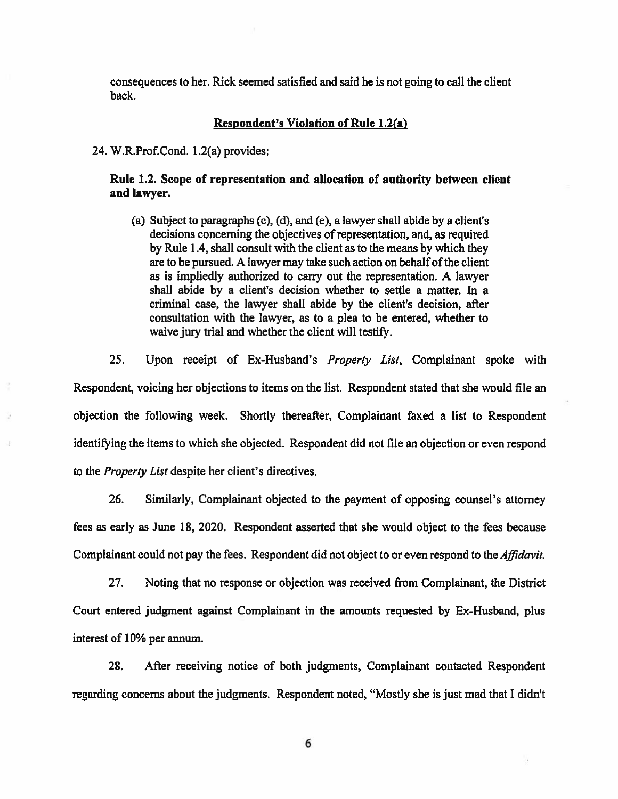consequences to her. Rick seemed satisfied and said he is not going to call the client back.

#### **Respondent's Violation of Rule 1.2(a)**

24. W.R.Prof.Cond. 1.2(a) provides:

#### Rule 1.2. Scope of representation and allocation of authority between client and lawyer.

(a) Subject to paragraphs (c), (d), and (e), a lawyer shall abide by a client's decisions concerning the objectives of representation, and, as required by Rule 1.4, shall consult with the client as to the means by which they are to be pursued. A lawyer may take such action on behalf of the client as is impliedly authorized to carry out the representation. A lawyer shall abide by a client's decision whether to settle a matter. In a criminal case, the lawyer shall abide by the client's decision, after consultation with the lawyer, as to a plea to be entered, whether to waive jury trial and whether the client will testify.

 $25.$ Upon receipt of Ex-Husband's Property List, Complainant spoke with Respondent, voicing her objections to items on the list. Respondent stated that she would file an objection the following week. Shortly thereafter, Complainant faxed a list to Respondent identifying the items to which she objected. Respondent did not file an objection or even respond to the *Property List* despite her client's directives.

26. Similarly, Complainant objected to the payment of opposing counsel's attorney fees as early as June 18, 2020. Respondent asserted that she would object to the fees because Complainant could not pay the fees. Respondent did not object to or even respond to the *Affidavit*.

 $27.$ Noting that no response or objection was received from Complainant, the District Court entered judgment against Complainant in the amounts requested by Ex-Husband, plus interest of 10% per annum.

28. After receiving notice of both judgments, Complainant contacted Respondent regarding concerns about the judgments. Respondent noted, "Mostly she is just mad that I didn't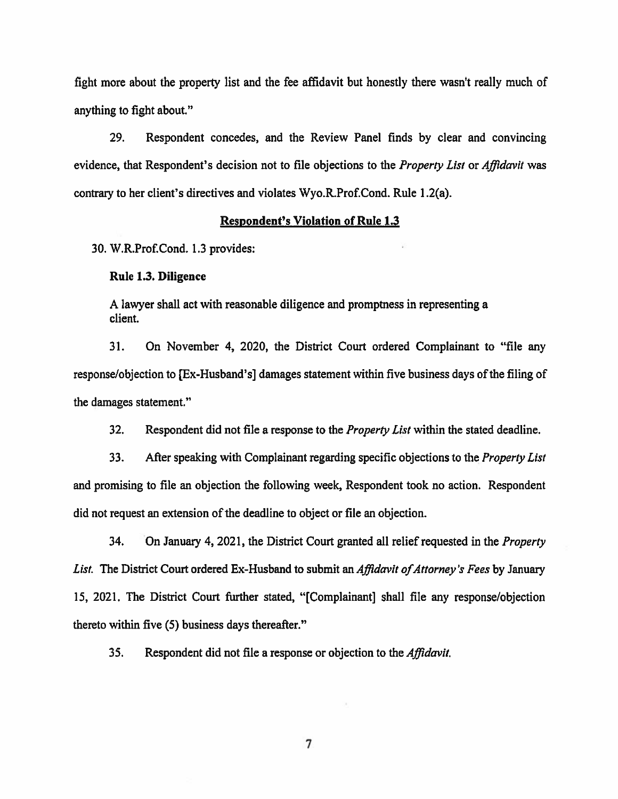fight more about the property list and the fee affidavit but honestly there wasn't really much of anything to fight about."

29. Respondent concedes, and the Review Panel finds by clear and convincing evidence, that Respondent's decision not to file objections to the *Property List* or *Affidavit* was contrary to her client's directives and violates Wyo.R.Prof.Cond. Rule 1.2(a).

#### **Respondent's Violation of Rule 1.3**

30. W.R.Prof.Cond. 1.3 provides:

#### Rule 1.3. Diligence

A lawyer shall act with reasonable diligence and promptness in representing a client.

 $31.$ On November 4, 2020, the District Court ordered Complainant to "file any response/objection to [Ex-Husband's] damages statement within five business days of the filing of the damages statement."

 $32.$ Respondent did not file a response to the *Property List* within the stated deadline.

After speaking with Complainant regarding specific objections to the Property List 33. and promising to file an objection the following week, Respondent took no action. Respondent did not request an extension of the deadline to object or file an objection.

34. On January 4, 2021, the District Court granted all relief requested in the *Property* List. The District Court ordered Ex-Husband to submit an *Affidavit of Attorney's Fees* by January 15, 2021. The District Court further stated, "[Complainant] shall file any response/objection thereto within five (5) business days thereafter."

 $35.$ Respondent did not file a response or objection to the *Affidavit*.

 $\overline{7}$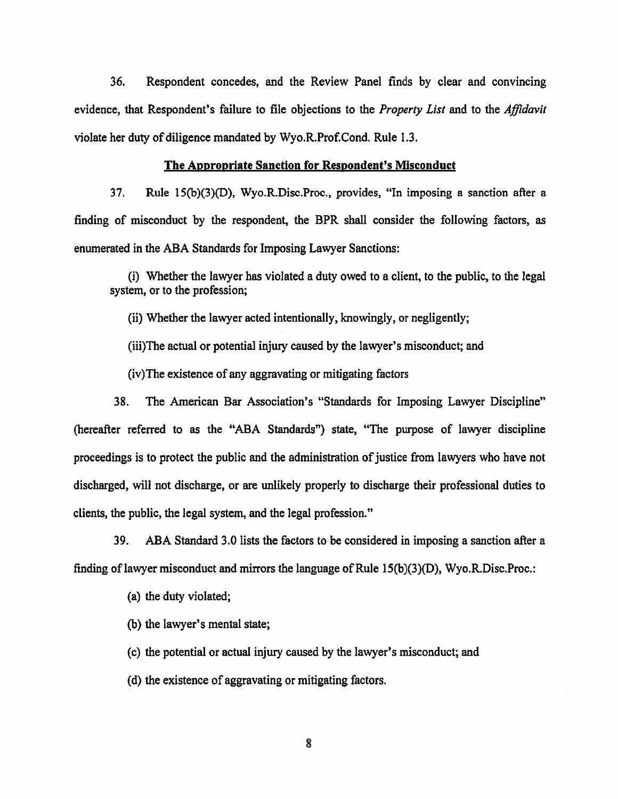36. Respondent concedes, and the Review Panel finds by clear and convincing evidence, that Respondent's failure to file objections to the *Property List* and to the *Affidavit* violate her duty of diligence mandated by Wyo.R.Prof.Cond. Rule 1.3.

#### **The Appropriate Sanction for Respondent's Misconduct**

 $37.$ Rule 15(b)(3)(D), Wyo.R.Disc.Proc., provides, "In imposing a sanction after a finding of misconduct by the respondent, the BPR shall consider the following factors, as enumerated in the ABA Standards for Imposing Lawyer Sanctions:

(i) Whether the lawyer has violated a duty owed to a client, to the public, to the legal system, or to the profession;

(ii) Whether the lawyer acted intentionally, knowingly, or negligently;

(iii) The actual or potential injury caused by the lawyer's misconduct; and

(iv) The existence of any aggravating or mitigating factors

38. The American Bar Association's "Standards for Imposing Lawyer Discipline" (hereafter referred to as the "ABA Standards") state, "The purpose of lawyer discipline proceedings is to protect the public and the administration of justice from lawyers who have not discharged, will not discharge, or are unlikely properly to discharge their professional duties to clients, the public, the legal system, and the legal profession."

39. ABA Standard 3.0 lists the factors to be considered in imposing a sanction after a finding of lawyer misconduct and mirrors the language of Rule  $15(b)(3)(D)$ , Wyo.R.Disc.Proc.:

(a) the duty violated;

(b) the lawyer's mental state;

(c) the potential or actual injury caused by the lawyer's misconduct; and

(d) the existence of aggravating or mitigating factors.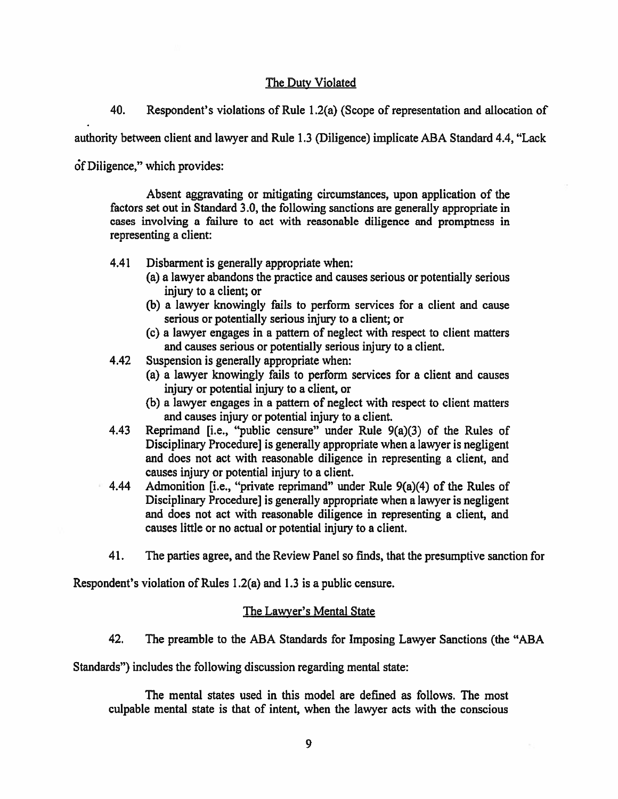### The Duty Violated

40. Respondent's violations of Rule 1.2(a) (Scope of representation and allocation of

authority between client and lawyer and Rule 1.3 (Diligence) implicate ABA Standard 4.4, "Lack

of Diligence," which provides:

Absent aggravating or mitigating circumstances, upon application of the factors set out in Standard 3.0, the following sanctions are generally appropriate in cases involving a failure to act with reasonable diligence and promptness in representing a client:

- 4.41 Disbarment is generally appropriate when:
	- (a) a lawyer abandons the practice and causes serious or potentially serious injury to a client; or
	- (b) a lawyer knowingly fails to perform services for a client and cause serious or potentially serious injury to a client: or
	- (c) a lawyer engages in a pattern of neglect with respect to client matters and causes serious or potentially serious injury to a client.
- 4.42 Suspension is generally appropriate when:
	- (a) a lawyer knowingly fails to perform services for a client and causes injury or potential injury to a client, or
	- (b) a lawyer engages in a pattern of neglect with respect to client matters and causes injury or potential injury to a client.
- Reprimand [i.e., "public censure" under Rule 9(a)(3) of the Rules of 4.43 Disciplinary Procedure] is generally appropriate when a lawyer is negligent and does not act with reasonable diligence in representing a client, and causes injury or potential injury to a client.
- Admonition [i.e., "private reprimand" under Rule 9(a)(4) of the Rules of 4.44 Disciplinary Procedure, is generally appropriate when a lawyer is negligent and does not act with reasonable diligence in representing a client, and causes little or no actual or potential injury to a client.
- 41. The parties agree, and the Review Panel so finds, that the presumptive sanction for

Respondent's violation of Rules 1.2(a) and 1.3 is a public censure.

## The Lawyer's Mental State

42. The preamble to the ABA Standards for Imposing Lawyer Sanctions (the "ABA

Standards") includes the following discussion regarding mental state:

The mental states used in this model are defined as follows. The most culpable mental state is that of intent, when the lawyer acts with the conscious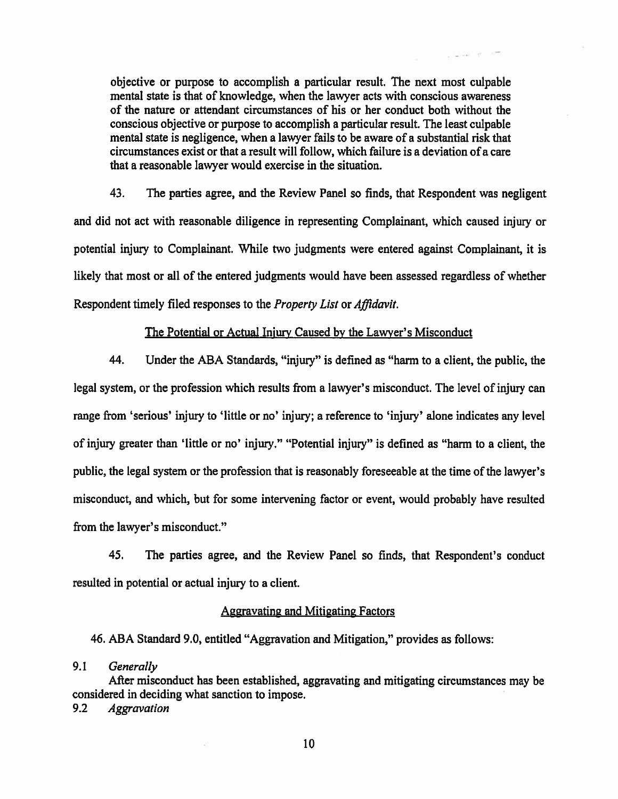objective or purpose to accomplish a particular result. The next most culpable mental state is that of knowledge, when the lawyer acts with conscious awareness of the nature or attendant circumstances of his or her conduct both without the conscious objective or purpose to accomplish a particular result. The least culpable mental state is negligence, when a lawyer fails to be aware of a substantial risk that circumstances exist or that a result will follow, which failure is a deviation of a care that a reasonable lawyer would exercise in the situation.

 $\omega_{\rm c} = 1.40$  .  $\Omega_{\rm c}$ 

43. The parties agree, and the Review Panel so finds, that Respondent was negligent and did not act with reasonable diligence in representing Complainant, which caused injury or potential injury to Complainant. While two judgments were entered against Complainant, it is likely that most or all of the entered judgments would have been assessed regardless of whether Respondent timely filed responses to the *Property List* or *Affidavit*.

#### The Potential or Actual Injury Caused by the Lawyer's Misconduct

44. Under the ABA Standards, "injury" is defined as "harm to a client, the public, the legal system, or the profession which results from a lawyer's misconduct. The level of injury can range from 'serious' injury to 'little or no' injury; a reference to 'injury' alone indicates any level of injury greater than 'little or no' injury." "Potential injury" is defined as "harm to a client, the public, the legal system or the profession that is reasonably foreseeable at the time of the lawyer's misconduct, and which, but for some intervening factor or event, would probably have resulted from the lawyer's misconduct."

45. The parties agree, and the Review Panel so finds, that Respondent's conduct resulted in potential or actual injury to a client.

#### **Aggravating and Mitigating Factors**

46. ABA Standard 9.0, entitled "Aggravation and Mitigation," provides as follows:

9.1 Generally

After misconduct has been established, aggravating and mitigating circumstances may be considered in deciding what sanction to impose. **Aggravation**  $9.2$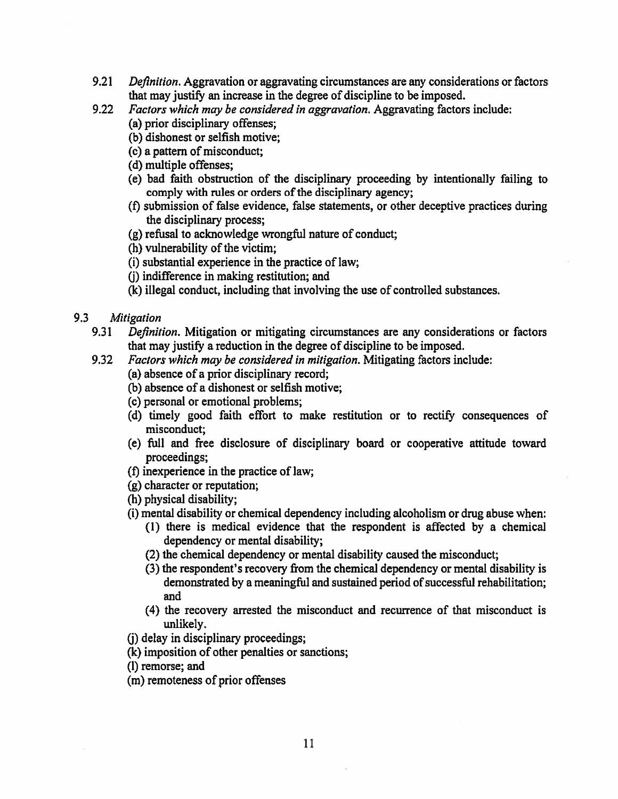- $9.21$ *Definition.* Aggravation or aggravating circumstances are any considerations or factors that may justify an increase in the degree of discipline to be imposed.
- Factors which may be considered in aggravation. Aggravating factors include:  $9.22$ 
	- (a) prior disciplinary offenses;
	- (b) dishonest or selfish motive;
	- (c) a pattern of misconduct:
	- (d) multiple offenses;
	- (e) bad faith obstruction of the disciplinary proceeding by intentionally failing to comply with rules or orders of the disciplinary agency;
	- (f) submission of false evidence, false statements, or other deceptive practices during the disciplinary process;
	- (g) refusal to acknowledge wrongful nature of conduct;
	- (h) vulnerability of the victim:
	- (i) substantial experience in the practice of law;
	- (i) indifference in making restitution; and
	- (k) illegal conduct, including that involving the use of controlled substances.
- $9.3$ Mitigation
	- 9.31 Definition. Mitigation or mitigating circumstances are any considerations or factors that may justify a reduction in the degree of discipline to be imposed.
	- $9.32$ Factors which may be considered in mitigation. Mitigating factors include:
		- (a) absence of a prior disciplinary record;
		- (b) absence of a dishonest or selfish motive;
		- (c) personal or emotional problems;
		- (d) timely good faith effort to make restitution or to rectify consequences of misconduct;
		- (e) full and free disclosure of disciplinary board or cooperative attitude toward proceedings;
		- (f) inexperience in the practice of law;
		- (g) character or reputation;
		- (h) physical disability;
		- (i) mental disability or chemical dependency including alcoholism or drug abuse when:
			- (1) there is medical evidence that the respondent is affected by a chemical dependency or mental disability;
			- (2) the chemical dependency or mental disability caused the misconduct;
			- (3) the respondent's recovery from the chemical dependency or mental disability is demonstrated by a meaningful and sustained period of successful rehabilitation; and
			- (4) the recovery arrested the misconduct and recurrence of that misconduct is unlikely.
		- (i) delay in disciplinary proceedings;
		- (k) imposition of other penalties or sanctions;
		- (I) remorse; and
		- (m) remoteness of prior offenses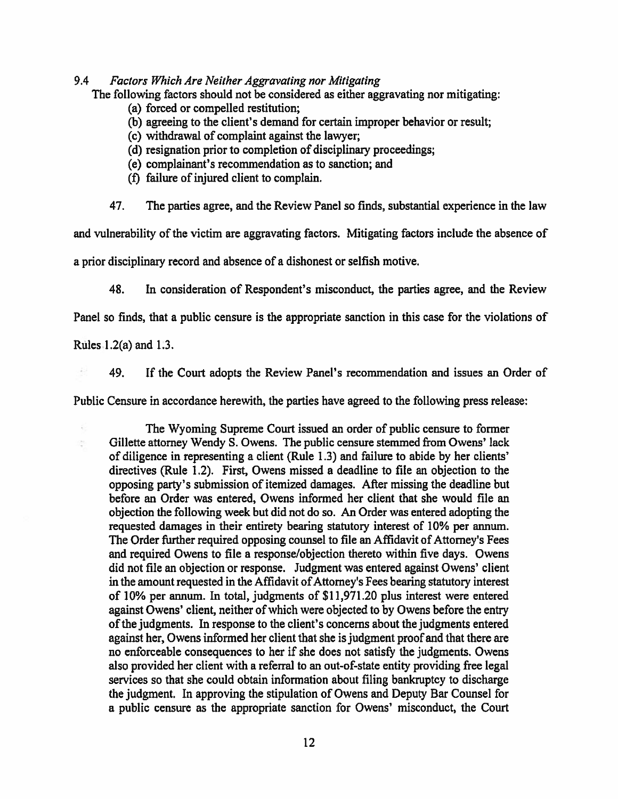#### 9.4 Factors Which Are Neither Aggravating nor Mitigating

The following factors should not be considered as either aggravating nor mitigating:

- (a) forced or compelled restitution;
- (b) agreeing to the client's demand for certain improper behavior or result;
- (c) withdrawal of complaint against the lawyer;
- (d) resignation prior to completion of disciplinary proceedings;
- (e) complainant's recommendation as to sanction; and
- (f) failure of injured client to complain.
- 47. The parties agree, and the Review Panel so finds, substantial experience in the law

and vulnerability of the victim are aggravating factors. Mitigating factors include the absence of

a prior disciplinary record and absence of a dishonest or selfish motive.

48. In consideration of Respondent's misconduct, the parties agree, and the Review

Panel so finds, that a public censure is the appropriate sanction in this case for the violations of

Rules 1.2(a) and 1.3.

ģ.

49. If the Court adopts the Review Panel's recommendation and issues an Order of

Public Censure in accordance herewith, the parties have agreed to the following press release:

The Wyoming Supreme Court issued an order of public censure to former Gillette attorney Wendy S. Owens. The public censure stemmed from Owens' lack of diligence in representing a client (Rule 1.3) and failure to abide by her clients' directives (Rule 1.2). First, Owens missed a deadline to file an objection to the opposing party's submission of itemized damages. After missing the deadline but before an Order was entered, Owens informed her client that she would file an objection the following week but did not do so. An Order was entered adopting the requested damages in their entirety bearing statutory interest of 10% per annum. The Order further required opposing counsel to file an Affidavit of Attorney's Fees and required Owens to file a response/objection thereto within five days. Owens did not file an objection or response. Judgment was entered against Owens' client in the amount requested in the Affidavit of Attorney's Fees bearing statutory interest of 10% per annum. In total, judgments of \$11,971.20 plus interest were entered against Owens' client, neither of which were objected to by Owens before the entry of the judgments. In response to the client's concerns about the judgments entered against her, Owens informed her client that she is judgment proof and that there are no enforceable consequences to her if she does not satisfy the judgments. Owens also provided her client with a referral to an out-of-state entity providing free legal services so that she could obtain information about filing bankruptcy to discharge the judgment. In approving the stipulation of Owens and Deputy Bar Counsel for a public censure as the appropriate sanction for Owens' misconduct, the Court